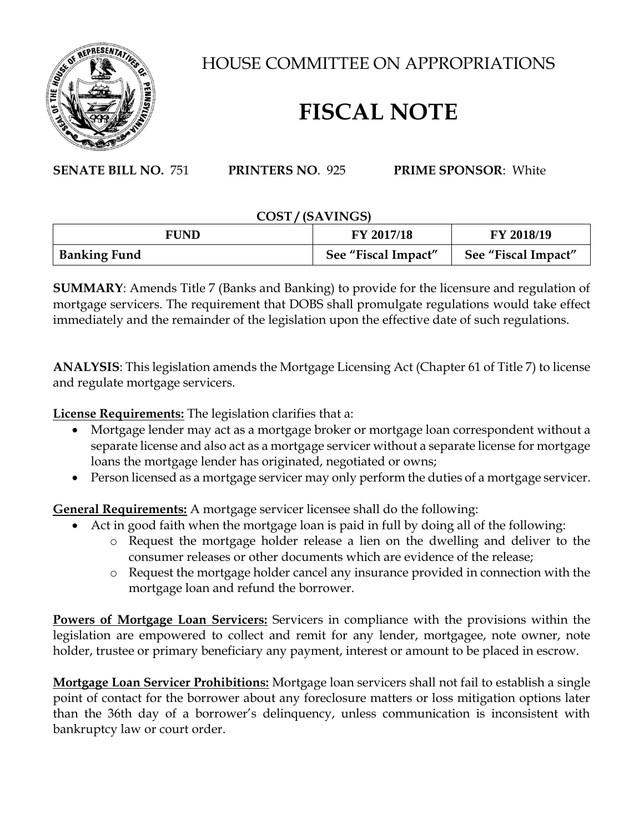

HOUSE COMMITTEE ON APPROPRIATIONS

## **FISCAL NOTE**

**SENATE BILL NO.** 751 **PRINTERS NO**. 925 **PRIME SPONSOR**: White

## **COST / (SAVINGS)**

| <b>FUND</b>         | FY 2017/18          | FY 2018/19          |
|---------------------|---------------------|---------------------|
| <b>Banking Fund</b> | See "Fiscal Impact" | See "Fiscal Impact" |

**SUMMARY**: Amends Title 7 (Banks and Banking) to provide for the licensure and regulation of mortgage servicers. The requirement that DOBS shall promulgate regulations would take effect immediately and the remainder of the legislation upon the effective date of such regulations.

**ANALYSIS**: This legislation amends the Mortgage Licensing Act (Chapter 61 of Title 7) to license and regulate mortgage servicers.

**License Requirements:** The legislation clarifies that a:

- Mortgage lender may act as a mortgage broker or mortgage loan correspondent without a separate license and also act as a mortgage servicer without a separate license for mortgage loans the mortgage lender has originated, negotiated or owns;
- Person licensed as a mortgage servicer may only perform the duties of a mortgage servicer.

**General Requirements:** A mortgage servicer licensee shall do the following:

- Act in good faith when the mortgage loan is paid in full by doing all of the following:
	- o Request the mortgage holder release a lien on the dwelling and deliver to the consumer releases or other documents which are evidence of the release;
	- o Request the mortgage holder cancel any insurance provided in connection with the mortgage loan and refund the borrower.

**Powers of Mortgage Loan Servicers:** Servicers in compliance with the provisions within the legislation are empowered to collect and remit for any lender, mortgagee, note owner, note holder, trustee or primary beneficiary any payment, interest or amount to be placed in escrow.

**Mortgage Loan Servicer Prohibitions:** Mortgage loan servicers shall not fail to establish a single point of contact for the borrower about any foreclosure matters or loss mitigation options later than the 36th day of a borrower's delinquency, unless communication is inconsistent with bankruptcy law or court order.